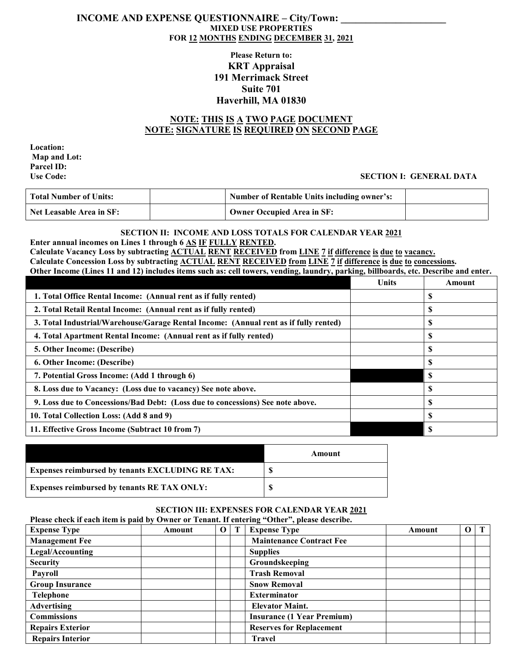### **INCOME AND EXPENSE QUESTIONNAIRE – City/Town: MIXED USE PROPERTIES FOR 12 MONTHS ENDING DECEMBER 31, 2021**

## **Please Return to: KRT Appraisal 191 Merrimack Street Suite 701 Haverhill, MA 01830**

# **NOTE: THIS IS A TWO PAGE DOCUMENT NOTE: SIGNATURE IS REQUIRED ON SECOND PAGE**

**Location: Map and Lot: Parcel ID:**

### **Use Code: SECTION I: GENERAL DATA**

| <b>Total Number of Units:</b>   | <b>Number of Rentable Units including owner's:</b> |  |
|---------------------------------|----------------------------------------------------|--|
| <b>Net Leasable Area in SF:</b> | Owner Occupied Area in SF:                         |  |

# **SECTION II: INCOME AND LOSS TOTALS FOR CALENDAR YEAR 2021**

**Enter annual incomes on Lines 1 through 6 AS IF FULLY RENTED.**

**Calculate Vacancy Loss by subtracting ACTUAL RENT RECEIVED from LINE 7 if difference is due to vacancy.**

**Calculate Concession Loss by subtracting ACTUAL RENT RECEIVED from LINE 7 if difference is due to concessions.**

| Other Income (Lines 11 and 12) includes items such as: cell towers, vending, laundry, parking, billboards, etc. Describe and enter. |              |          |
|-------------------------------------------------------------------------------------------------------------------------------------|--------------|----------|
|                                                                                                                                     | <b>Units</b> | Amount   |
| 1. Total Office Rental Income: (Annual rent as if fully rented)                                                                     |              |          |
| 2. Total Retail Rental Income: (Annual rent as if fully rented)                                                                     |              | S        |
| 3. Total Industrial/Warehouse/Garage Rental Income: (Annual rent as if fully rented)                                                |              | S        |
| 4. Total Apartment Rental Income: (Annual rent as if fully rented)                                                                  |              | <b>S</b> |
| 5. Other Income: (Describe)                                                                                                         |              | <b>S</b> |
| 6. Other Income: (Describe)                                                                                                         |              | <b>S</b> |
| 7. Potential Gross Income: (Add 1 through 6)                                                                                        |              | -S       |
| 8. Loss due to Vacancy: (Loss due to vacancy) See note above.                                                                       |              | <b>S</b> |
| 9. Loss due to Concessions/Bad Debt: (Loss due to concessions) See note above.                                                      |              | S        |
| 10. Total Collection Loss: (Add 8 and 9)                                                                                            |              | S        |
| 11. Effective Gross Income (Subtract 10 from 7)                                                                                     |              |          |

|                                                         | Amount |
|---------------------------------------------------------|--------|
| <b>Expenses reimbursed by tenants EXCLUDING RE TAX:</b> |        |
| <b>Expenses reimbursed by tenants RE TAX ONLY:</b>      |        |

## **SECTION III: EXPENSES FOR CALENDAR YEAR 2021**

**Please check if each item is paid by Owner or Tenant. If entering "Other", please describe. Expense Type Amount O T Expense Type Amount O T Management Fee Maintenance** Contract Fee Legal/Accounting and **Supplies Security Groundskeeping Payroll Trash Removal** Group Insurance **Signal Contract Executive Contract A** Snow Removal **Telephone Exterminator Advertising Elevator Maint. Commissions Insurance (1 Year Premium) Repairs Exterior Repairs Exterior Replacement Repairs Interior Travel**